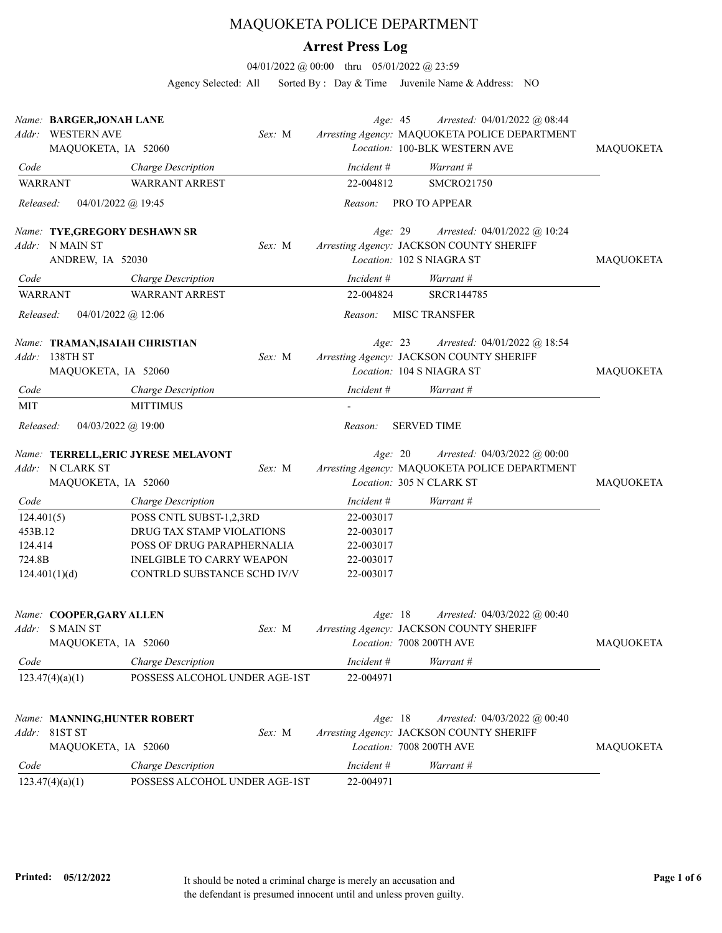## MAQUOKETA POLICE DEPARTMENT

## **Arrest Press Log**

04/01/2022 @ 00:00 thru 05/01/2022 @ 23:59

Agency Selected: All Sorted By : Day & Time Juvenile Name & Address: NO

|                | Name: BARGER, JONAH LANE<br>Addr: WESTERN AVE<br>MAQUOKETA, IA 52060       |                                                          | Sex: M |                        | Age: 45         | Arrested: 04/01/2022 @ 08:44<br>Arresting Agency: MAQUOKETA POLICE DEPARTMENT<br>Location: 100-BLK WESTERN AVE     | <b>MAQUOKETA</b> |
|----------------|----------------------------------------------------------------------------|----------------------------------------------------------|--------|------------------------|-----------------|--------------------------------------------------------------------------------------------------------------------|------------------|
| Code           |                                                                            | Charge Description                                       |        | $Incident \#$          |                 | Warrant #                                                                                                          |                  |
| <b>WARRANT</b> |                                                                            | <b>WARRANT ARREST</b>                                    |        | 22-004812              |                 | <b>SMCRO21750</b>                                                                                                  |                  |
| Released:      | 04/01/2022 @ 19:45                                                         |                                                          |        | Reason:                |                 | PRO TO APPEAR                                                                                                      |                  |
|                | Name: TYE, GREGORY DESHAWN SR<br>Addr: N MAIN ST<br>ANDREW, IA 52030       |                                                          | Sex: M |                        | Age: 29         | Arrested: 04/01/2022 @ 10:24<br>Arresting Agency: JACKSON COUNTY SHERIFF<br>Location: 102 S NIAGRA ST              | <b>MAQUOKETA</b> |
| Code           |                                                                            | Charge Description                                       |        | Incident #             |                 | Warrant #                                                                                                          |                  |
| <b>WARRANT</b> |                                                                            | <b>WARRANT ARREST</b>                                    |        | 22-004824              |                 | SRCR144785                                                                                                         |                  |
| Released:      | 04/01/2022 @ 12:06                                                         |                                                          |        | Reason:                |                 | <b>MISC TRANSFER</b>                                                                                               |                  |
| Addr:<br>Code  | Name: TRAMAN, ISAIAH CHRISTIAN<br>138TH ST<br>MAQUOKETA, IA 52060          | Charge Description                                       | Sex: M | Incident #             | Age: 23         | Arrested: 04/01/2022 @ 18:54<br>Arresting Agency: JACKSON COUNTY SHERIFF<br>Location: 104 S NIAGRA ST<br>Warrant # | <b>MAQUOKETA</b> |
| <b>MIT</b>     |                                                                            | <b>MITTIMUS</b>                                          |        |                        |                 |                                                                                                                    |                  |
| Released:      | 04/03/2022 @ 19:00                                                         |                                                          |        | Reason:                |                 | <b>SERVED TIME</b>                                                                                                 |                  |
|                | Addr: N CLARK ST<br>MAQUOKETA, IA 52060                                    | Name: TERRELL, ERIC JYRESE MELAVONT                      | Sex: M |                        | Age: 20         | Arrested: $04/03/2022$ @ $00:00$<br>Arresting Agency: MAQUOKETA POLICE DEPARTMENT<br>Location: 305 N CLARK ST      | <b>MAQUOKETA</b> |
| Code           |                                                                            | Charge Description                                       |        | Incident #             |                 | Warrant #                                                                                                          |                  |
| 124.401(5)     |                                                                            | POSS CNTL SUBST-1,2,3RD                                  |        | 22-003017              |                 |                                                                                                                    |                  |
| 453B.12        |                                                                            | DRUG TAX STAMP VIOLATIONS                                |        | 22-003017              |                 |                                                                                                                    |                  |
| 124.414        |                                                                            | POSS OF DRUG PARAPHERNALIA                               |        | 22-003017              |                 |                                                                                                                    |                  |
| 724.8B         | 124.401(1)(d)                                                              | INELGIBLE TO CARRY WEAPON<br>CONTRLD SUBSTANCE SCHD IV/V |        | 22-003017<br>22-003017 |                 |                                                                                                                    |                  |
|                | Name: COOPER, GARY ALLEN<br><i>Addr</i> : S MAIN ST<br>MAQUOKETA, IA 52060 |                                                          | Sex: M |                        | Age: 18         | Arrested: $04/03/2022$ @ 00:40<br>Arresting Agency: JACKSON COUNTY SHERIFF<br>Location: 7008 200TH AVE             | <b>MAQUOKETA</b> |
| Code           |                                                                            | Charge Description                                       |        | Incident #             |                 | Warrant #                                                                                                          |                  |
|                | 123.47(4)(a)(1)                                                            | POSSESS ALCOHOL UNDER AGE-1ST                            |        | 22-004971              |                 |                                                                                                                    |                  |
|                | Name: MANNING, HUNTER ROBERT<br>Addr: 81ST ST<br>MAQUOKETA, IA 52060       |                                                          | Sex: M |                        | <i>Age</i> : 18 | Arrested: 04/03/2022 @ 00:40<br>Arresting Agency: JACKSON COUNTY SHERIFF<br>Location: 7008 200TH AVE               | MAQUOKETA        |
| Code           |                                                                            | Charge Description                                       |        | Incident #             |                 | Warrant #                                                                                                          |                  |
|                | 123.47(4)(a)(1)                                                            | POSSESS ALCOHOL UNDER AGE-1ST                            |        | 22-004971              |                 |                                                                                                                    |                  |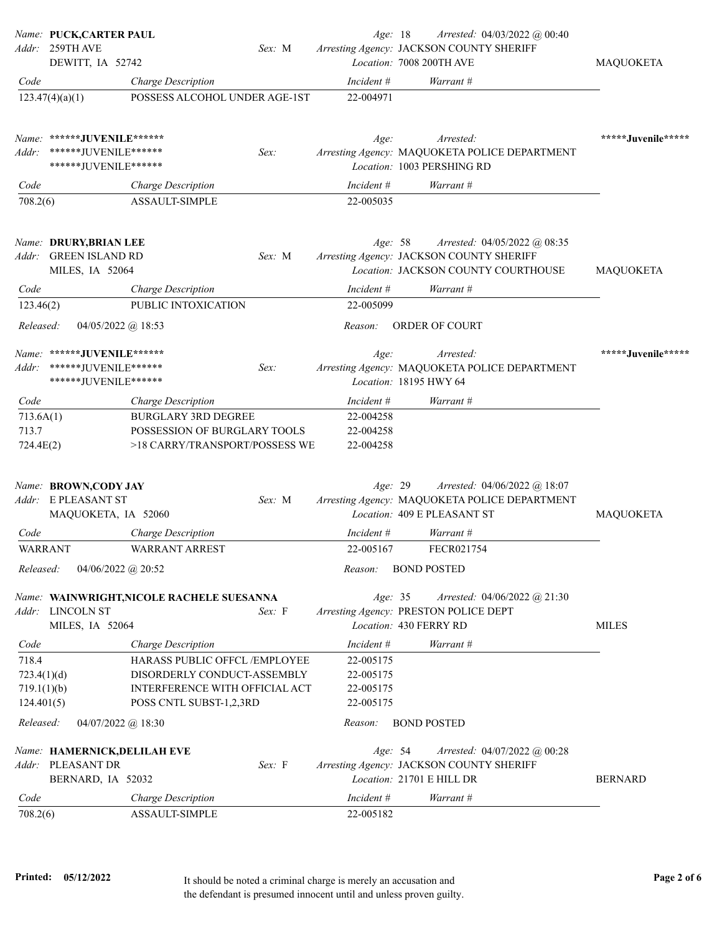|                         | Name: PUCK,CARTER PAUL<br>Addr: 259TH AVE                           |                                                                | Sex: M | Age: 18                 | Arrested: $04/03/2022$ @ 00:40<br>Arresting Agency: JACKSON COUNTY SHERIFF                                        |                    |
|-------------------------|---------------------------------------------------------------------|----------------------------------------------------------------|--------|-------------------------|-------------------------------------------------------------------------------------------------------------------|--------------------|
|                         | DEWITT, IA 52742                                                    |                                                                |        |                         | Location: 7008 200TH AVE                                                                                          | <b>MAQUOKETA</b>   |
| Code                    | 123.47(4)(a)(1)                                                     | Charge Description<br>POSSESS ALCOHOL UNDER AGE-1ST            |        | Incident #<br>22-004971 | Warrant #                                                                                                         |                    |
|                         | Name: ******JUVENILE******                                          |                                                                |        | Age:                    | Arrested:                                                                                                         | *****Juvenile***** |
| Addr:                   | ******JUVENILE*******<br>****** JUVENILE******                      |                                                                | Sex:   |                         | Arresting Agency: MAQUOKETA POLICE DEPARTMENT<br>Location: 1003 PERSHING RD                                       |                    |
| Code                    |                                                                     | <b>Charge Description</b>                                      |        | Incident #              | Warrant #                                                                                                         |                    |
| 708.2(6)                |                                                                     | <b>ASSAULT-SIMPLE</b>                                          |        | 22-005035               |                                                                                                                   |                    |
| Addr:                   | Name: DRURY, BRIAN LEE<br><b>GREEN ISLAND RD</b><br>MILES, IA 52064 |                                                                | Sex: M | Age: 58                 | Arrested: $04/05/2022$ @ 08:35<br>Arresting Agency: JACKSON COUNTY SHERIFF<br>Location: JACKSON COUNTY COURTHOUSE | <b>MAQUOKETA</b>   |
| Code                    |                                                                     |                                                                |        | Incident #              | Warrant #                                                                                                         |                    |
| 123.46(2)               |                                                                     | <b>Charge Description</b><br>PUBLIC INTOXICATION               |        | 22-005099               |                                                                                                                   |                    |
| Released:               | $04/05/2022$ @ 18:53                                                |                                                                |        | Reason:                 | <b>ORDER OF COURT</b>                                                                                             |                    |
| Addr:                   | Name: ******JUVENILE******<br>******JUVENILE******                  |                                                                | Sex:   | Age:                    | Arrested:<br>Arresting Agency: MAQUOKETA POLICE DEPARTMENT                                                        | *****Juvenile***** |
|                         | ******JUVENILE******                                                |                                                                |        |                         | Location: 18195 HWY 64                                                                                            |                    |
| Code                    |                                                                     | Charge Description                                             |        | Incident #              | Warrant #                                                                                                         |                    |
| 713.6A(1)               |                                                                     | <b>BURGLARY 3RD DEGREE</b>                                     |        | 22-004258               |                                                                                                                   |                    |
| 713.7<br>724.4E(2)      |                                                                     | POSSESSION OF BURGLARY TOOLS<br>>18 CARRY/TRANSPORT/POSSESS WE |        | 22-004258<br>22-004258  |                                                                                                                   |                    |
|                         | Name: BROWN,CODY JAY<br>Addr: E PLEASANT ST                         |                                                                | Sex: M | Age: 29                 | Arrested: 04/06/2022 @ 18:07<br>Arresting Agency: MAQUOKETA POLICE DEPARTMENT                                     |                    |
|                         | MAQUOKETA, IA 52060                                                 |                                                                |        |                         | Location: 409 E PLEASANT ST                                                                                       | MAQUOKETA          |
| Code                    |                                                                     | <b>Charge Description</b>                                      |        | Incident #              | Warrant #                                                                                                         |                    |
| <b>WARRANT</b>          |                                                                     | <b>WARRANT ARREST</b>                                          |        | 22-005167               | FECR021754                                                                                                        |                    |
| Released:               | 04/06/2022 @ 20:52                                                  |                                                                |        | Reason:                 | <b>BOND POSTED</b>                                                                                                |                    |
|                         | Addr: LINCOLN ST<br>MILES, IA 52064                                 | Name: WAINWRIGHT, NICOLE RACHELE SUESANNA                      | Sex: F | Age: 35                 | Arrested: $04/06/2022$ @ 21:30<br>Arresting Agency: PRESTON POLICE DEPT<br>Location: 430 FERRY RD                 | <b>MILES</b>       |
| Code                    |                                                                     | Charge Description                                             |        | Incident #              | Warrant #                                                                                                         |                    |
| 718.4                   |                                                                     | HARASS PUBLIC OFFCL /EMPLOYEE                                  |        | 22-005175               |                                                                                                                   |                    |
| 723.4(1)(d)             |                                                                     | DISORDERLY CONDUCT-ASSEMBLY                                    |        | 22-005175               |                                                                                                                   |                    |
| 719.1(1)(b)             |                                                                     | INTERFERENCE WITH OFFICIAL ACT                                 |        | 22-005175               |                                                                                                                   |                    |
| 124.401(5)<br>Released: | 04/07/2022 @ 18:30                                                  | POSS CNTL SUBST-1,2,3RD                                        |        | 22-005175<br>Reason:    | <b>BOND POSTED</b>                                                                                                |                    |
|                         | Name: HAMERNICK, DELILAH EVE                                        |                                                                |        | Age: 54                 | Arrested: 04/07/2022 @ 00:28                                                                                      |                    |
| Addr:                   | PLEASANT DR<br>BERNARD, IA 52032                                    |                                                                | Sex: F |                         | Arresting Agency: JACKSON COUNTY SHERIFF<br>Location: 21701 E HILL DR                                             | <b>BERNARD</b>     |
| Code                    |                                                                     | Charge Description                                             |        | Incident #              | Warrant #                                                                                                         |                    |
| 708.2(6)                |                                                                     | ASSAULT-SIMPLE                                                 |        | 22-005182               |                                                                                                                   |                    |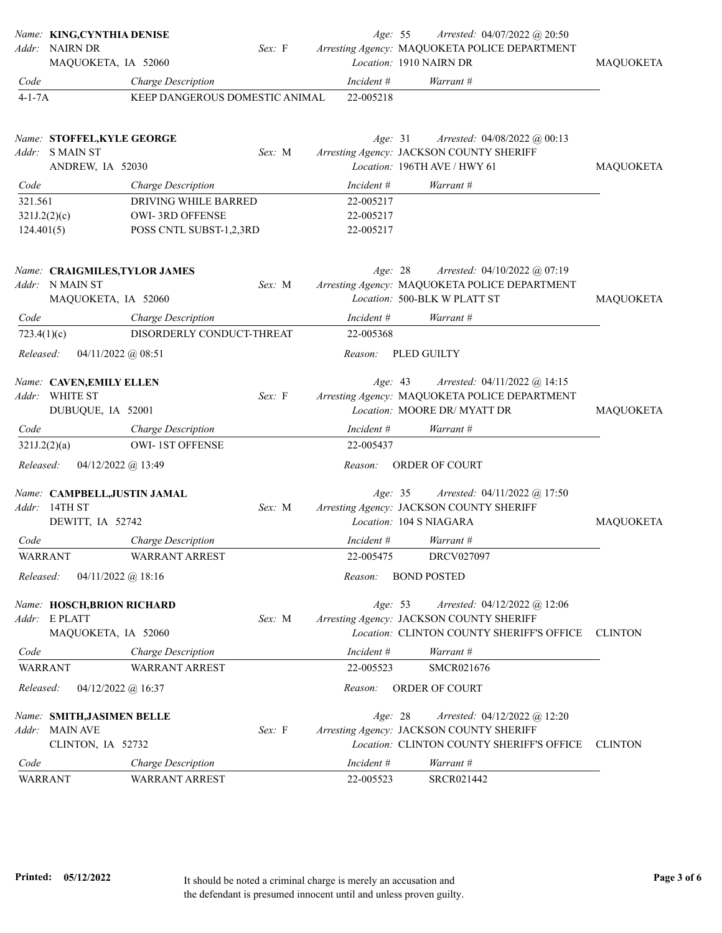|                       | Name: KING, CYNTHIA DENISE<br>Addr: NAIRN DR<br>MAQUOKETA, IA 52060                | Sex: F                         | Age: 55                             | Arrested: 04/07/2022 @ 20:50<br>Arresting Agency: MAQUOKETA POLICE DEPARTMENT<br>Location: 1910 NAIRN DR                | <b>MAQUOKETA</b> |
|-----------------------|------------------------------------------------------------------------------------|--------------------------------|-------------------------------------|-------------------------------------------------------------------------------------------------------------------------|------------------|
| Code                  | Charge Description                                                                 |                                | Incident #                          | Warrant #                                                                                                               |                  |
| $4 - 1 - 7A$          |                                                                                    | KEEP DANGEROUS DOMESTIC ANIMAL | 22-005218                           |                                                                                                                         |                  |
|                       | Name: STOFFEL, KYLE GEORGE<br>Addr: SMAIN ST<br>ANDREW, IA 52030                   | Sex: M                         | Age: 31                             | Arrested: $04/08/2022$ @ 00:13<br>Arresting Agency: JACKSON COUNTY SHERIFF<br>Location: 196TH AVE / HWY 61              | MAQUOKETA        |
| Code                  | Charge Description                                                                 |                                | Incident #                          | Warrant #                                                                                                               |                  |
| 321.561<br>124.401(5) | DRIVING WHILE BARRED<br>321J.2(2)(c)<br>OWI-3RD OFFENSE<br>POSS CNTL SUBST-1,2,3RD |                                | 22-005217<br>22-005217<br>22-005217 |                                                                                                                         |                  |
| Addr:                 | Name: CRAIGMILES, TYLOR JAMES<br>N MAIN ST<br>MAQUOKETA, IA 52060                  | Sex: M                         | Age: 28                             | Arrested: 04/10/2022 @ 07:19<br>Arresting Agency: MAQUOKETA POLICE DEPARTMENT<br>Location: 500-BLK W PLATT ST           | <b>MAQUOKETA</b> |
| Code                  | Charge Description                                                                 |                                | Incident #                          | Warrant #                                                                                                               |                  |
| 723.4(1)(c)           |                                                                                    | DISORDERLY CONDUCT-THREAT      | 22-005368                           |                                                                                                                         |                  |
| Released:             | $04/11/2022$ @ 08:51                                                               |                                | Reason:                             | PLED GUILTY                                                                                                             |                  |
|                       | Name: CAVEN, EMILY ELLEN<br>Addr: WHITE ST<br>DUBUQUE, IA 52001                    | Sex: F                         | Age: 43                             | Arrested: 04/11/2022 @ 14:15<br>Arresting Agency: MAQUOKETA POLICE DEPARTMENT<br>Location: MOORE DR/MYATT DR            | <b>MAQUOKETA</b> |
| Code                  | Charge Description                                                                 |                                | Incident #                          | Warrant #                                                                                                               |                  |
|                       | 321J.2(2)(a)<br><b>OWI-1ST OFFENSE</b>                                             |                                | 22-005437                           |                                                                                                                         |                  |
| Released:             | $04/12/2022$ @ 13:49                                                               |                                | Reason:                             | ORDER OF COURT                                                                                                          |                  |
|                       | Name: CAMPBELL, JUSTIN JAMAL<br>Addr: 14TH ST<br>DEWITT, IA 52742                  | Sex: M                         | Age: 35                             | Arrested: $04/11/2022$ @ 17:50<br>Arresting Agency: JACKSON COUNTY SHERIFF<br>Location: 104 S NIAGARA                   | <b>MAQUOKETA</b> |
| Code                  | Charge Description                                                                 |                                | Incident #                          | Warrant #                                                                                                               |                  |
| <b>WARRANT</b>        | WARRANT ARREST                                                                     |                                | 22-005475                           | DRCV027097                                                                                                              |                  |
| Released:             | $04/11/2022$ @ 18:16                                                               |                                | Reason:                             | <b>BOND POSTED</b>                                                                                                      |                  |
|                       | Name: HOSCH, BRION RICHARD<br>Addr: E PLATT<br>MAQUOKETA, IA 52060                 | Sex: M                         | Age: 53                             | Arrested: 04/12/2022 @ 12:06<br>Arresting Agency: JACKSON COUNTY SHERIFF<br>Location: CLINTON COUNTY SHERIFF'S OFFICE   | <b>CLINTON</b>   |
| Code                  | Charge Description                                                                 |                                | Incident #                          | Warrant #                                                                                                               |                  |
| <b>WARRANT</b>        | <b>WARRANT ARREST</b>                                                              |                                | 22-005523                           | SMCR021676                                                                                                              |                  |
| Released:             | 04/12/2022 @ 16:37                                                                 |                                | Reason:                             | ORDER OF COURT                                                                                                          |                  |
|                       | Name: SMITH, JASIMEN BELLE<br>Addr: MAIN AVE<br>CLINTON, IA 52732                  | Sex: F                         | Age: 28                             | Arrested: $04/12/2022$ @ 12:20<br>Arresting Agency: JACKSON COUNTY SHERIFF<br>Location: CLINTON COUNTY SHERIFF'S OFFICE | <b>CLINTON</b>   |
| Code                  | Charge Description                                                                 |                                | Incident #                          | Warrant #                                                                                                               |                  |
| <b>WARRANT</b>        | <b>WARRANT ARREST</b>                                                              |                                | 22-005523                           | SRCR021442                                                                                                              |                  |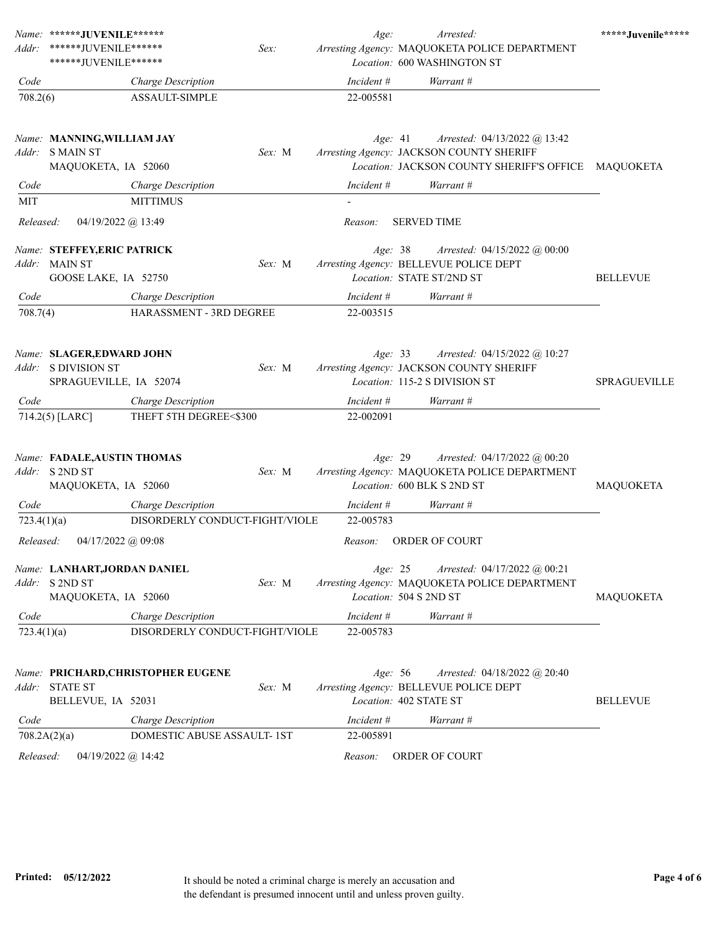| Addr:       | Name: ******JUVENILE******<br>*******JUVENILE******                         | Sex:   | Age:       | Arrested:<br>Arresting Agency: MAQUOKETA POLICE DEPARTMENT                                                  | *****Juvenile***** |
|-------------|-----------------------------------------------------------------------------|--------|------------|-------------------------------------------------------------------------------------------------------------|--------------------|
|             | ******JUVENILE******                                                        |        |            | Location: 600 WASHINGTON ST                                                                                 |                    |
| Code        | Charge Description                                                          |        | Incident # | Warrant #                                                                                                   |                    |
| 708.2(6)    | ASSAULT-SIMPLE                                                              |        | 22-005581  |                                                                                                             |                    |
|             | Name: MANNING, WILLIAM JAY<br>Addr: SMAIN ST                                | Sex: M | Age: 41    | Arrested: 04/13/2022 @ 13:42<br>Arresting Agency: JACKSON COUNTY SHERIFF                                    |                    |
|             | MAQUOKETA, IA 52060                                                         |        |            | Location: JACKSON COUNTY SHERIFF'S OFFICE MAQUOKETA                                                         |                    |
| Code        | <b>Charge Description</b>                                                   |        | Incident # | Warrant #                                                                                                   |                    |
| MIT         | <b>MITTIMUS</b>                                                             |        |            |                                                                                                             |                    |
| Released:   | 04/19/2022 @ 13:49                                                          |        | Reason:    | <b>SERVED TIME</b>                                                                                          |                    |
|             | Name: STEFFEY, ERIC PATRICK                                                 |        | Age: 38    | Arrested: $04/15/2022$ @ $00:00$                                                                            |                    |
|             | Addr: MAIN ST<br>GOOSE LAKE, IA 52750                                       | Sex: M |            | Arresting Agency: BELLEVUE POLICE DEPT<br>Location: STATE ST/2ND ST                                         | <b>BELLEVUE</b>    |
| Code        | Charge Description                                                          |        | Incident # | Warrant #                                                                                                   |                    |
| 708.7(4)    | HARASSMENT - 3RD DEGREE                                                     |        | 22-003515  |                                                                                                             |                    |
|             | Name: SLAGER, EDWARD JOHN<br>Addr: S DIVISION ST<br>SPRAGUEVILLE, IA 52074  | Sex: M | Age: 33    | Arrested: 04/15/2022 @ 10:27<br>Arresting Agency: JACKSON COUNTY SHERIFF<br>Location: 115-2 S DIVISION ST   | SPRAGUEVILLE       |
| Code        | <b>Charge Description</b>                                                   |        | Incident # | Warrant #                                                                                                   |                    |
|             | 714.2(5) [LARC]<br>THEFT 5TH DEGREE<\$300                                   |        | 22-002091  |                                                                                                             |                    |
|             | Name: FADALE, AUSTIN THOMAS<br>Addr: S 2ND ST<br>MAQUOKETA, IA 52060        | Sex: M | Age: 29    | Arrested: 04/17/2022 @ 00:20<br>Arresting Agency: MAQUOKETA POLICE DEPARTMENT<br>Location: 600 BLK S 2ND ST | <b>MAQUOKETA</b>   |
| Code        | Charge Description                                                          |        | Incident # | Warrant #                                                                                                   |                    |
| 723.4(1)(a) | DISORDERLY CONDUCT-FIGHT/VIOLE                                              |        | 22-005783  |                                                                                                             |                    |
| Released:   | 04/17/2022 @ 09:08                                                          |        | Reason:    | <b>ORDER OF COURT</b>                                                                                       |                    |
| Addr:       | Name: LANHART, JORDAN DANIEL<br>S 2ND ST<br>MAQUOKETA, IA 52060             | Sex: M | Age: 25    | Arrested: 04/17/2022 @ 00:21<br>Arresting Agency: MAQUOKETA POLICE DEPARTMENT<br>Location: 504 S 2ND ST     | MAQUOKETA          |
| Code        | Charge Description                                                          |        | Incident # | Warrant #                                                                                                   |                    |
| 723.4(1)(a) | DISORDERLY CONDUCT-FIGHT/VIOLE                                              |        | 22-005783  |                                                                                                             |                    |
| Addr:       | Name: PRICHARD, CHRISTOPHER EUGENE<br><b>STATE ST</b><br>BELLEVUE, IA 52031 | Sex: M | Age: 56    | Arrested: 04/18/2022 @ 20:40<br>Arresting Agency: BELLEVUE POLICE DEPT<br>Location: 402 STATE ST            | <b>BELLEVUE</b>    |
| Code        | Charge Description                                                          |        | Incident # | Warrant #                                                                                                   |                    |
|             | DOMESTIC ABUSE ASSAULT- 1ST<br>708.2A(2)(a)                                 |        | 22-005891  |                                                                                                             |                    |
| Released:   | $04/19/2022$ @ 14:42                                                        |        | Reason:    | ORDER OF COURT                                                                                              |                    |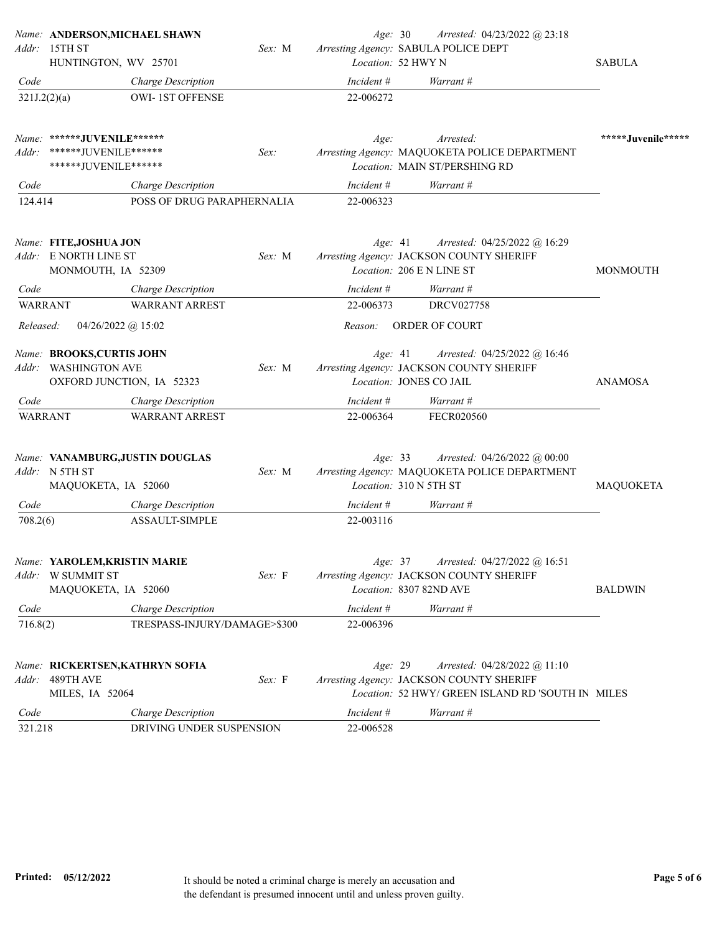|                        | Name: ANDERSON, MICHAEL SHAWN                                                  |        | Age: 30                 | Arrested: 04/23/2022 @ 23:18                                                                                                  |                    |
|------------------------|--------------------------------------------------------------------------------|--------|-------------------------|-------------------------------------------------------------------------------------------------------------------------------|--------------------|
| Addr:                  | 15TH ST<br>HUNTINGTON, WV 25701                                                | Sex: M |                         | Arresting Agency: SABULA POLICE DEPT<br>Location: 52 HWY N                                                                    | <b>SABULA</b>      |
| Code                   | Charge Description                                                             |        | Incident #              | Warrant #                                                                                                                     |                    |
| 321J.2(2)(a)           | <b>OWI-1ST OFFENSE</b>                                                         |        | 22-006272               |                                                                                                                               |                    |
|                        | Name: ******JUVENILE******                                                     |        | Age:                    | Arrested:                                                                                                                     | *****Juvenile***** |
| Addr:                  | ******JUVENILE******<br>******JUVENILE******                                   | Sex:   |                         | Arresting Agency: MAQUOKETA POLICE DEPARTMENT<br>Location: MAIN ST/PERSHING RD                                                |                    |
| Code                   | Charge Description                                                             |        | Incident #              | Warrant #                                                                                                                     |                    |
| 124.414                | POSS OF DRUG PARAPHERNALIA                                                     |        | 22-006323               |                                                                                                                               |                    |
|                        | Name: FITE,JOSHUA JON<br>Addr: E NORTH LINE ST                                 | Sex: M | Age: 41                 | Arrested: 04/25/2022 @ 16:29<br>Arresting Agency: JACKSON COUNTY SHERIFF<br>Location: 206 E N LINE ST                         |                    |
|                        | MONMOUTH, IA 52309                                                             |        |                         |                                                                                                                               | <b>MONMOUTH</b>    |
| Code<br><b>WARRANT</b> | Charge Description<br><b>WARRANT ARREST</b>                                    |        | Incident #<br>22-006373 | Warrant #<br>DRCV027758                                                                                                       |                    |
| Released:              | $04/26/2022$ @ 15:02                                                           |        | Reason:                 | ORDER OF COURT                                                                                                                |                    |
| Addr:                  | Name: BROOKS,CURTIS JOHN<br><b>WASHINGTON AVE</b><br>OXFORD JUNCTION, IA 52323 | Sex: M | Age: 41                 | Arrested: 04/25/2022 @ 16:46<br>Arresting Agency: JACKSON COUNTY SHERIFF<br>Location: JONES CO JAIL                           | <b>ANAMOSA</b>     |
| Code                   | Charge Description                                                             |        | Incident #              | Warrant #                                                                                                                     |                    |
| <b>WARRANT</b>         | <b>WARRANT ARREST</b>                                                          |        | 22-006364               | FECR020560                                                                                                                    |                    |
|                        | Name: VANAMBURG,JUSTIN DOUGLAS<br>Addr: N 5TH ST<br>MAQUOKETA, IA 52060        | Sex: M | Age: 33                 | Arrested: 04/26/2022 @ 00:00<br>Arresting Agency: MAQUOKETA POLICE DEPARTMENT<br>Location: 310 N 5TH ST                       | <b>MAQUOKETA</b>   |
| Code                   | Charge Description                                                             |        | Incident #              | Warrant #                                                                                                                     |                    |
| 708.2(6)               | ASSAULT-SIMPLE                                                                 |        | 22-003116               |                                                                                                                               |                    |
| Addr:                  | Name: YAROLEM, KRISTIN MARIE<br>W SUMMIT ST<br>MAQUOKETA, IA 52060             | Sex: F | Age: 37                 | Arrested: 04/27/2022 @ 16:51<br>Arresting Agency: JACKSON COUNTY SHERIFF<br>Location: 8307 82ND AVE                           | <b>BALDWIN</b>     |
| Code                   | Charge Description                                                             |        | Incident #              | Warrant #                                                                                                                     |                    |
| 716.8(2)               | TRESPASS-INJURY/DAMAGE>\$300                                                   |        | 22-006396               |                                                                                                                               |                    |
| Addr:                  | Name: RICKERTSEN, KATHRYN SOFIA<br>489TH AVE<br>MILES, IA 52064                | Sex: F | Age: 29                 | Arrested: 04/28/2022 @ 11:10<br>Arresting Agency: JACKSON COUNTY SHERIFF<br>Location: 52 HWY/ GREEN ISLAND RD 'SOUTH IN MILES |                    |
| Code                   | Charge Description                                                             |        | Incident #              | Warrant #                                                                                                                     |                    |
| 321.218                | DRIVING UNDER SUSPENSION                                                       |        | 22-006528               |                                                                                                                               |                    |